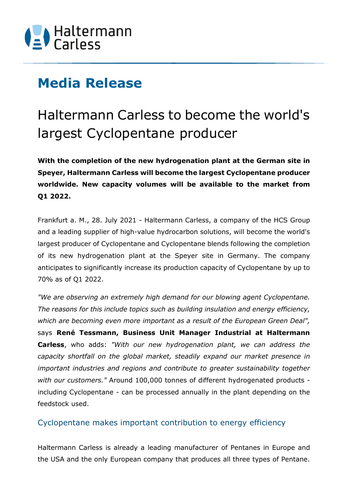

## **Media Release**

## Haltermann Carless to become the world's largest Cyclopentane producer

**With the completion of the new hydrogenation plant at the German site in Speyer, Haltermann Carless will become the largest Cyclopentane producer worldwide. New capacity volumes will be available to the market from Q1 2022.** 

Frankfurt a. M., 28. July 2021 - Haltermann Carless, a company of the HCS Group and a leading supplier of high-value hydrocarbon solutions, will become the world's largest producer of Cyclopentane and Cyclopentane blends following the completion of its new hydrogenation plant at the Speyer site in Germany. The company anticipates to significantly increase its production capacity of Cyclopentane by up to 70% as of Q1 2022.

*"We are observing an extremely high demand for our blowing agent Cyclopentane. The reasons for this include topics such as building insulation and energy efficiency, which are becoming even more important as a result of the European Green Deal",*  says **René Tessmann, Business Unit Manager Industrial at Haltermann Carless**, who adds: *"With our new hydrogenation plant, we can address the capacity shortfall on the global market, steadily expand our market presence in important industries and regions and contribute to greater sustainability together with our customers."* Around 100,000 tonnes of different hydrogenated products including Cyclopentane - can be processed annually in the plant depending on the feedstock used.

### Cyclopentane makes important contribution to energy efficiency

Haltermann Carless is already a leading manufacturer of Pentanes in Europe and the USA and the only European company that produces all three types of Pentane.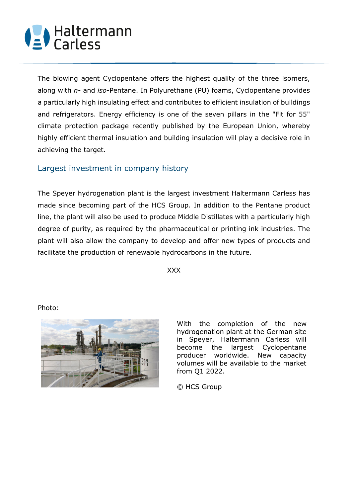# (2) Haltermann

The blowing agent Cyclopentane offers the highest quality of the three isomers, along with *n-* and *iso-*Pentane. In Polyurethane (PU) foams, Cyclopentane provides a particularly high insulating effect and contributes to efficient insulation of buildings and refrigerators. Energy efficiency is one of the seven pillars in the "Fit for 55" climate protection package recently published by the European Union, whereby highly efficient thermal insulation and building insulation will play a decisive role in achieving the target.

### Largest investment in company history

The Speyer hydrogenation plant is the largest investment Haltermann Carless has made since becoming part of the HCS Group. In addition to the Pentane product line, the plant will also be used to produce Middle Distillates with a particularly high degree of purity, as required by the pharmaceutical or printing ink industries. The plant will also allow the company to develop and offer new types of products and facilitate the production of renewable hydrocarbons in the future.

XXX

#### Photo:



With the completion of the new hydrogenation plant at the German site in Speyer, Haltermann Carless will become the largest Cyclopentane producer worldwide. New capacity volumes will be available to the market from Q1 2022.

© HCS Group